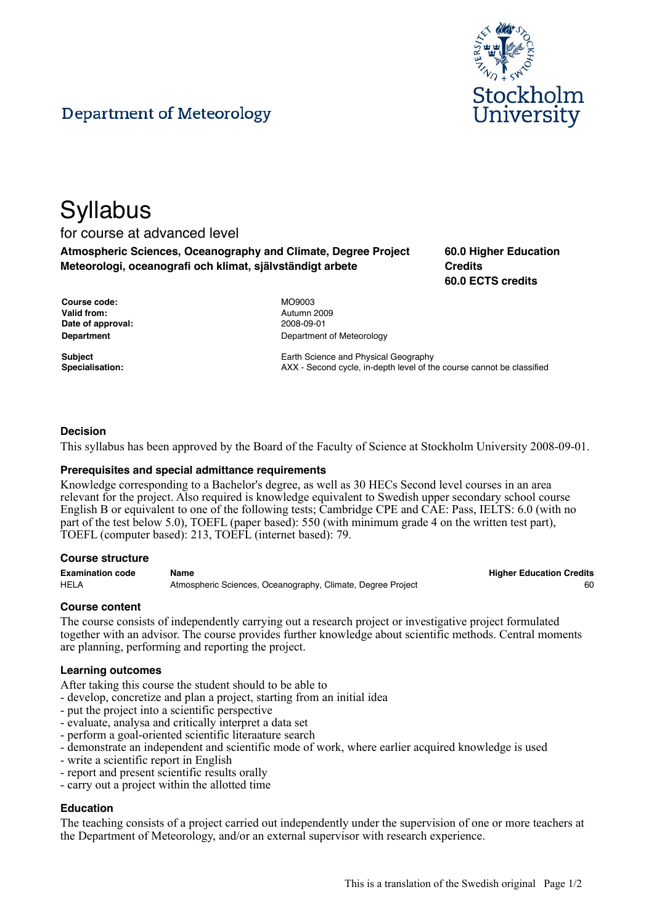



# **Syllabus**

# for course at advanced level

**Atmospheric Sciences, Oceanography and Climate, Degree Project Meteorologi, oceanografi och klimat, självständigt arbete**

**60.0 Higher Education Credits 60.0 ECTS credits**

| <b>Course code:</b> | MO9003  |
|---------------------|---------|
| Valid from:         | Autumn: |
| Date of approval:   | 2008-09 |
| Department          | Departm |

**Valid from:** Autumn 2009 **Date of approval:** 2008-09-01 **Department of Meteorology** 

**Subject** Earth Science and Physical Geography **Specialisation:** AXX - Second cycle, in-depth level of the course cannot be classified

# **Decision**

This syllabus has been approved by the Board of the Faculty of Science at Stockholm University 2008-09-01.

## **Prerequisites and special admittance requirements**

Knowledge corresponding to a Bachelor's degree, as well as 30 HECs Second level courses in an area relevant for the project. Also required is knowledge equivalent to Swedish upper secondary school course English B or equivalent to one of the following tests; Cambridge CPE and CAE: Pass, IELTS: 6.0 (with no part of the test below 5.0), TOEFL (paper based): 550 (with minimum grade 4 on the written test part), TOEFL (computer based): 213, TOEFL (internet based): 79.

### **Course structure**

**Examination code Name Higher Education Credits** HELA **Atmospheric Sciences, Oceanography, Climate**, Degree Project **60 60** 

## **Course content**

The course consists of independently carrying out a research project or investigative project formulated together with an advisor. The course provides further knowledge about scientific methods. Central moments are planning, performing and reporting the project.

### **Learning outcomes**

After taking this course the student should to be able to

- develop, concretize and plan a project, starting from an initial idea
- put the project into a scientific perspective
- evaluate, analysa and critically interpret a data set
- perform a goal-oriented scientific literaature search
- demonstrate an independent and scientific mode of work, where earlier acquired knowledge is used
- write a scientific report in English
- report and present scientific results orally
- carry out a project within the allotted time

## **Education**

The teaching consists of a project carried out independently under the supervision of one or more teachers at the Department of Meteorology, and/or an external supervisor with research experience.